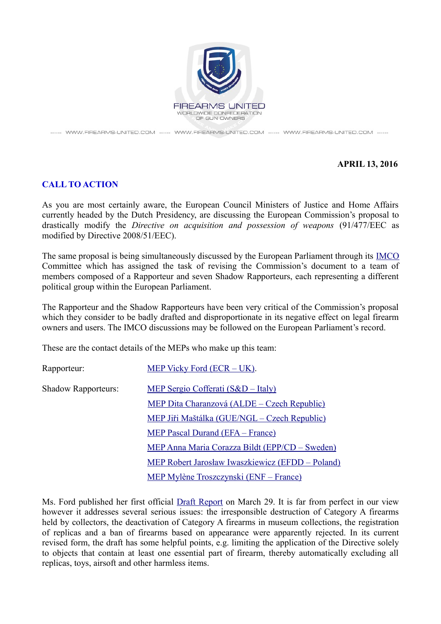

------ WWW.FIREARMS-UNITED.COM ------ WWW.FIREARMS-UNITED.COM ------ WWW.FIREARMS-UNITED.COM ------

## **APRIL 13, 2016**

## **CALL TO ACTION**

As you are most certainly aware, the European Council Ministers of Justice and Home Affairs currently headed by the Dutch Presidency, are discussing the European Commission's proposal to drastically modify the *Directive on acquisition and possession of weapons* (91/477/EEC as modified by Directive 2008/51/EEC).

The same proposal is being simultaneously discussed by the European Parliament through its [IMCO](http://www.europarl.europa.eu/committees/en/imco/subject-files.html?id=20160209CDT00521) Committee which has assigned the task of revising the Commission's document to a team of members composed of a Rapporteur and seven Shadow Rapporteurs, each representing a different political group within the European Parliament.

The Rapporteur and the Shadow Rapporteurs have been very critical of the Commission's proposal which they consider to be badly drafted and disproportionate in its negative effect on legal firearm owners and users. The IMCO discussions may be followed on the European Parliament's record.

These are the contact details of the MEPs who make up this team:

| Rapporteur:                | MEP Vicky Ford $(ECR – UK)$ .                        |
|----------------------------|------------------------------------------------------|
| <b>Shadow Rapporteurs:</b> | MEP Sergio Cofferati (S&D – Italy)                   |
|                            | <u> MEP Dita Charanzová (ALDE – Czech Republic)</u>  |
|                            | <u> MEP Jiři Maštálka (GUE/NGL – Czech Republic)</u> |
|                            | <b>MEP Pascal Durand (EFA - France)</b>              |
|                            | MEP Anna Maria Corazza Bildt (EPP/CD – Sweden)       |
|                            | MEP Robert Jarosław Iwaszkiewicz (EFDD – Poland)     |
|                            | MEP Mylène Troszczynski (ENF – France)               |

Ms. Ford published her first official [Draft Report](http://www.europarl.europa.eu/sides/getDoc.do?type=COMPARL&reference=PE-578.822&format=PDF&language=EN&secondRef=01) on March 29. It is far from perfect in our view however it addresses several serious issues: the irresponsible destruction of Category A firearms held by collectors, the deactivation of Category A firearms in museum collections, the registration of replicas and a ban of firearms based on appearance were apparently rejected. In its current revised form, the draft has some helpful points, e.g. limiting the application of the Directive solely to objects that contain at least one essential part of firearm, thereby automatically excluding all replicas, toys, airsoft and other harmless items.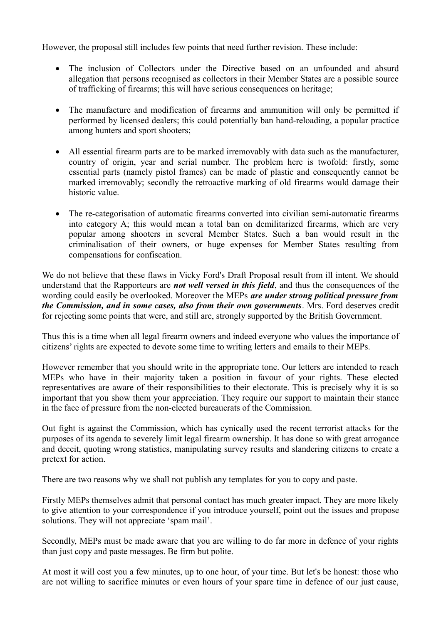However, the proposal still includes few points that need further revision. These include:

- The inclusion of Collectors under the Directive based on an unfounded and absurd allegation that persons recognised as collectors in their Member States are a possible source of trafficking of firearms; this will have serious consequences on heritage;
- The manufacture and modification of firearms and ammunition will only be permitted if performed by licensed dealers; this could potentially ban hand-reloading, a popular practice among hunters and sport shooters;
- All essential firearm parts are to be marked irremovably with data such as the manufacturer, country of origin, year and serial number. The problem here is twofold: firstly, some essential parts (namely pistol frames) can be made of plastic and consequently cannot be marked irremovably; secondly the retroactive marking of old firearms would damage their historic value.
- The re-categorisation of automatic firearms converted into civilian semi-automatic firearms into category A; this would mean a total ban on demilitarized firearms, which are very popular among shooters in several Member States. Such a ban would result in the criminalisation of their owners, or huge expenses for Member States resulting from compensations for confiscation.

We do not believe that these flaws in Vicky Ford's Draft Proposal result from ill intent. We should understand that the Rapporteurs are *not well versed in this field*, and thus the consequences of the wording could easily be overlooked. Moreover the MEPs *are under strong political pressure from the Commission, and in some cases, also from their own governments*. Mrs. Ford deserves credit for rejecting some points that were, and still are, strongly supported by the British Government.

Thus this is a time when all legal firearm owners and indeed everyone who values the importance of citizens' rights are expected to devote some time to writing letters and emails to their MEPs.

However remember that you should write in the appropriate tone. Our letters are intended to reach MEPs who have in their majority taken a position in favour of your rights. These elected representatives are aware of their responsibilities to their electorate. This is precisely why it is so important that you show them your appreciation. They require our support to maintain their stance in the face of pressure from the non-elected bureaucrats of the Commission.

Out fight is against the Commission, which has cynically used the recent terrorist attacks for the purposes of its agenda to severely limit legal firearm ownership. It has done so with great arrogance and deceit, quoting wrong statistics, manipulating survey results and slandering citizens to create a pretext for action.

There are two reasons why we shall not publish any templates for you to copy and paste.

Firstly MEPs themselves admit that personal contact has much greater impact. They are more likely to give attention to your correspondence if you introduce yourself, point out the issues and propose solutions. They will not appreciate 'spam mail'.

Secondly, MEPs must be made aware that you are willing to do far more in defence of your rights than just copy and paste messages. Be firm but polite.

At most it will cost you a few minutes, up to one hour, of your time. But let's be honest: those who are not willing to sacrifice minutes or even hours of your spare time in defence of our just cause,